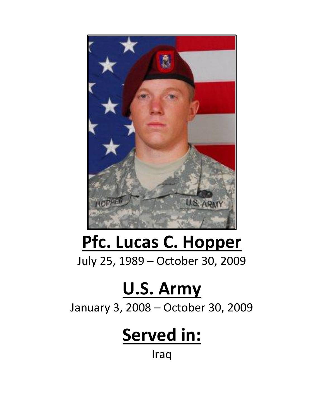

## **Pfc. Lucas C. Hopper**

July 25, 1989 – October 30, 2009

## **U.S. Army**

January 3, 2008 – October 30, 2009

## **Served in:**

Iraq